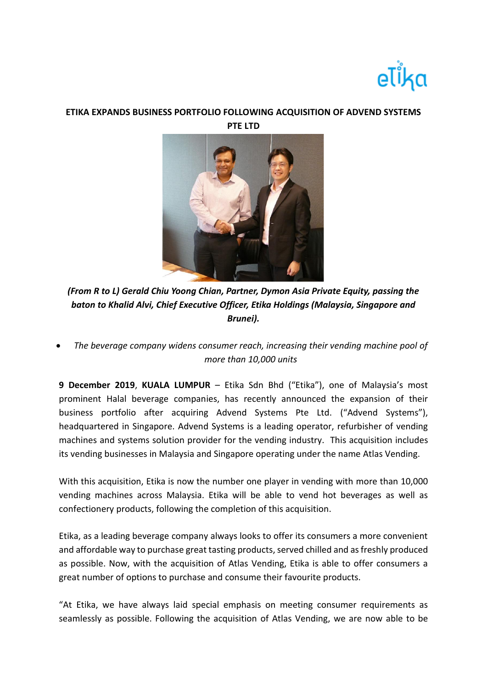

## **ETIKA EXPANDS BUSINESS PORTFOLIO FOLLOWING ACQUISITION OF ADVEND SYSTEMS PTE LTD**



*(From R to L) Gerald Chiu Yoong Chian, Partner, Dymon Asia Private Equity, passing the baton to Khalid Alvi, Chief Executive Officer, Etika Holdings (Malaysia, Singapore and Brunei).*

• *The beverage company widens consumer reach, increasing their vending machine pool of more than 10,000 units*

**9 December 2019**, **KUALA LUMPUR** – Etika Sdn Bhd ("Etika"), one of Malaysia's most prominent Halal beverage companies, has recently announced the expansion of their business portfolio after acquiring Advend Systems Pte Ltd. ("Advend Systems"), headquartered in Singapore. Advend Systems is a leading operator, refurbisher of vending machines and systems solution provider for the vending industry. This acquisition includes its vending businesses in Malaysia and Singapore operating under the name Atlas Vending.

With this acquisition, Etika is now the number one player in vending with more than 10,000 vending machines across Malaysia. Etika will be able to vend hot beverages as well as confectionery products, following the completion of this acquisition.

Etika, as a leading beverage company always looks to offer its consumers a more convenient and affordable way to purchase great tasting products, served chilled and as freshly produced as possible. Now, with the acquisition of Atlas Vending, Etika is able to offer consumers a great number of options to purchase and consume their favourite products.

"At Etika, we have always laid special emphasis on meeting consumer requirements as seamlessly as possible. Following the acquisition of Atlas Vending, we are now able to be